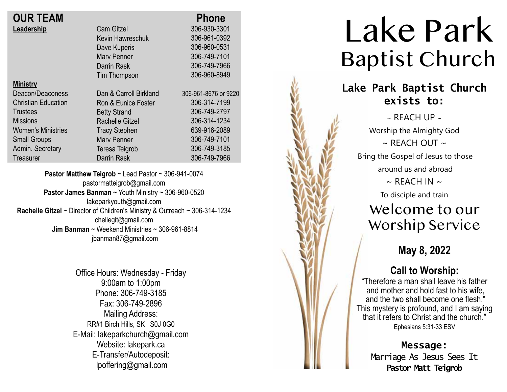| <b>OUR TEAM</b>            |                        | <b>Phone</b>         |
|----------------------------|------------------------|----------------------|
| Leadership                 | <b>Cam Gitzel</b>      | 306-930-3301         |
|                            | Kevin Hawreschuk       | 306-961-0392         |
|                            | Dave Kuperis           | 306-960-0531         |
|                            | <b>Mary Penner</b>     | 306-749-7101         |
|                            | Darrin Rask            | 306-749-7966         |
|                            | Tim Thompson           | 306-960-8949         |
| <b>Ministry</b>            |                        |                      |
| Deacon/Deaconess           | Dan & Carroll Birkland | 306-961-8676 or 9220 |
| <b>Christian Education</b> | Ron & Eunice Foster    | 306-314-7199         |
| <b>Trustees</b>            | <b>Betty Strand</b>    | 306-749-2797         |
| <b>Missions</b>            | <b>Rachelle Gitzel</b> | 306-314-1234         |
| <b>Women's Ministries</b>  | <b>Tracy Stephen</b>   | 639-916-2089         |
| <b>Small Groups</b>        | <b>Mary Penner</b>     | 306-749-7101         |
| Admin. Secretary           | Teresa Teigrob         | 306-749-3185         |
| Treasurer                  | <b>Darrin Rask</b>     | 306-749-7966         |
|                            |                        |                      |

**Pastor Matthew Teigrob** ~ Lead Pastor ~ 306-941-0074 pastormatteigrob@gmail.com **Pastor James Banman** ~ Youth Ministry ~ 306-960-0520 lakeparkyouth@gmail.com **Rachelle Gitzel** ~ Director of Children's Ministry & Outreach ~ 306-314-1234 chellegit@gmail.com  **Jim Banman** ~ Weekend Ministries ~ 306-961-8814 jbanman87@gmail.com

> Office Hours: Wednesday - Friday 9:00am to 1:00pm Phone: 306-749-3185 Fax: 306-749-2896 Mailing Address: RR#1 Birch Hills, SK S0J 0G0 E-Mail: lakeparkchurch@gmail.com Website: lakepark.ca E-Transfer/Autodeposit: lpoffering@gmail.com